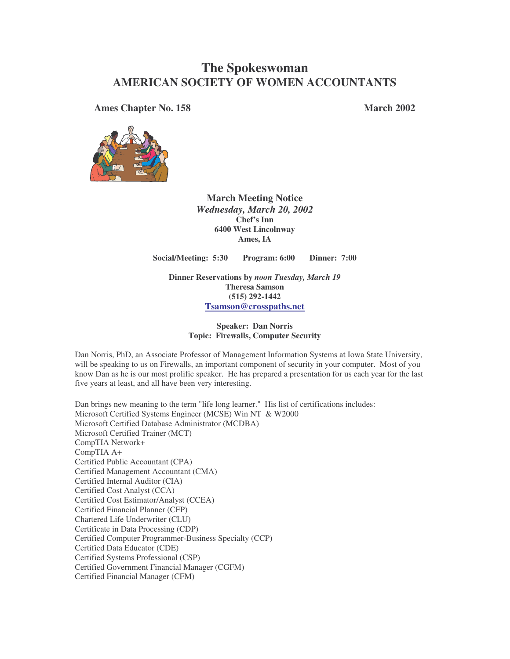# **The Spokeswoman AMERICAN SOCIETY OF WOMEN ACCOUNTANTS**

**Ames Chapter No. 158 March 2002**



**March Meeting Notice** *Wednesday, March 20, 2002* **Chef's Inn 6400 West Lincolnway Ames, IA**

**Social/Meeting: 5:30 Program: 6:00 Dinner: 7:00**

**Dinner Reservations by** *noon Tuesday, March 19* **Theresa Samson (515) 292-1442 Tsamson@crosspaths.net**

#### **Speaker: Dan Norris Topic: Firewalls, Computer Security**

Dan Norris, PhD, an Associate Professor of Management Information Systems at Iowa State University, will be speaking to us on Firewalls, an important component of security in your computer. Most of you know Dan as he is our most prolific speaker. He has prepared a presentation for us each year for the last five years at least, and all have been very interesting.

Dan brings new meaning to the term "life long learner." His list of certifications includes: Microsoft Certified Systems Engineer (MCSE) Win NT & W2000 Microsoft Certified Database Administrator (MCDBA) Microsoft Certified Trainer (MCT) CompTIA Network+ CompTIA A+ Certified Public Accountant (CPA) Certified Management Accountant (CMA) Certified Internal Auditor (CIA) Certified Cost Analyst (CCA) Certified Cost Estimator/Analyst (CCEA) Certified Financial Planner (CFP) Chartered Life Underwriter (CLU) Certificate in Data Processing (CDP) Certified Computer Programmer-Business Specialty (CCP) Certified Data Educator (CDE) Certified Systems Professional (CSP) Certified Government Financial Manager (CGFM) Certified Financial Manager (CFM)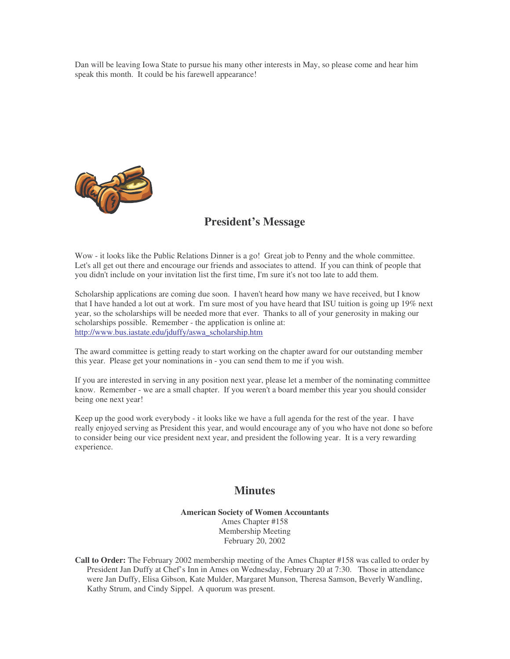Dan will be leaving Iowa State to pursue his many other interests in May, so please come and hear him speak this month. It could be his farewell appearance!



### **President's Message**

Wow - it looks like the Public Relations Dinner is a go! Great job to Penny and the whole committee. Let's all get out there and encourage our friends and associates to attend. If you can think of people that you didn't include on your invitation list the first time, I'm sure it's not too late to add them.

Scholarship applications are coming due soon. I haven't heard how many we have received, but I know that I have handed a lot out at work. I'm sure most of you have heard that ISU tuition is going up 19% next year, so the scholarships will be needed more that ever. Thanks to all of your generosity in making our scholarships possible. Remember - the application is online at: http://www.bus.iastate.edu/jduffy/aswa\_scholarship.htm

The award committee is getting ready to start working on the chapter award for our outstanding member this year. Please get your nominations in - you can send them to me if you wish.

If you are interested in serving in any position next year, please let a member of the nominating committee know. Remember - we are a small chapter. If you weren't a board member this year you should consider being one next year!

Keep up the good work everybody - it looks like we have a full agenda for the rest of the year. I have really enjoyed serving as President this year, and would encourage any of you who have not done so before to consider being our vice president next year, and president the following year. It is a very rewarding experience.

### **Minutes**

**American Society of Women Accountants** Ames Chapter #158 Membership Meeting February 20, 2002

**Call to Order:** The February 2002 membership meeting of the Ames Chapter #158 was called to order by President Jan Duffy at Chef's Inn in Ames on Wednesday, February 20 at 7:30. Those in attendance were Jan Duffy, Elisa Gibson, Kate Mulder, Margaret Munson, Theresa Samson, Beverly Wandling, Kathy Strum, and Cindy Sippel. A quorum was present.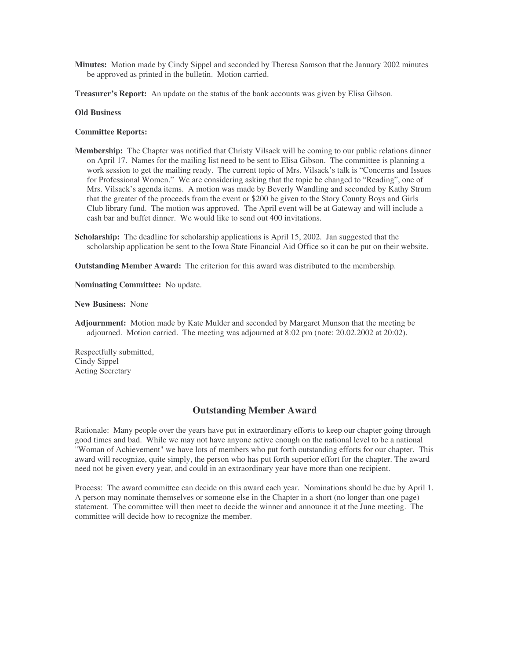- **Minutes:** Motion made by Cindy Sippel and seconded by Theresa Samson that the January 2002 minutes be approved as printed in the bulletin. Motion carried.
- **Treasurer's Report:** An update on the status of the bank accounts was given by Elisa Gibson.

#### **Old Business**

#### **Committee Reports:**

- **Membership:** The Chapter was notified that Christy Vilsack will be coming to our public relations dinner on April 17. Names for the mailing list need to be sent to Elisa Gibson. The committee is planning a work session to get the mailing ready. The current topic of Mrs. Vilsack's talk is "Concerns and Issues for Professional Women." We are considering asking that the topic be changed to "Reading", one of Mrs. Vilsack's agenda items. A motion was made by Beverly Wandling and seconded by Kathy Strum that the greater of the proceeds from the event or \$200 be given to the Story County Boys and Girls Club library fund. The motion was approved. The April event will be at Gateway and will include a cash bar and buffet dinner. We would like to send out 400 invitations.
- **Scholarship:** The deadline for scholarship applications is April 15, 2002. Jan suggested that the scholarship application be sent to the Iowa State Financial Aid Office so it can be put on their website.

**Outstanding Member Award:** The criterion for this award was distributed to the membership.

**Nominating Committee:** No update.

**New Business:** None

**Adjournment:** Motion made by Kate Mulder and seconded by Margaret Munson that the meeting be adjourned. Motion carried. The meeting was adjourned at 8:02 pm (note: 20.02.2002 at 20:02).

Respectfully submitted, Cindy Sippel Acting Secretary

### **Outstanding Member Award**

Rationale: Many people over the years have put in extraordinary efforts to keep our chapter going through good times and bad. While we may not have anyone active enough on the national level to be a national "Woman of Achievement" we have lots of members who put forth outstanding efforts for our chapter. This award will recognize, quite simply, the person who has put forth superior effort for the chapter. The award need not be given every year, and could in an extraordinary year have more than one recipient.

Process: The award committee can decide on this award each year. Nominations should be due by April 1. A person may nominate themselves or someone else in the Chapter in a short (no longer than one page) statement. The committee will then meet to decide the winner and announce it at the June meeting. The committee will decide how to recognize the member.